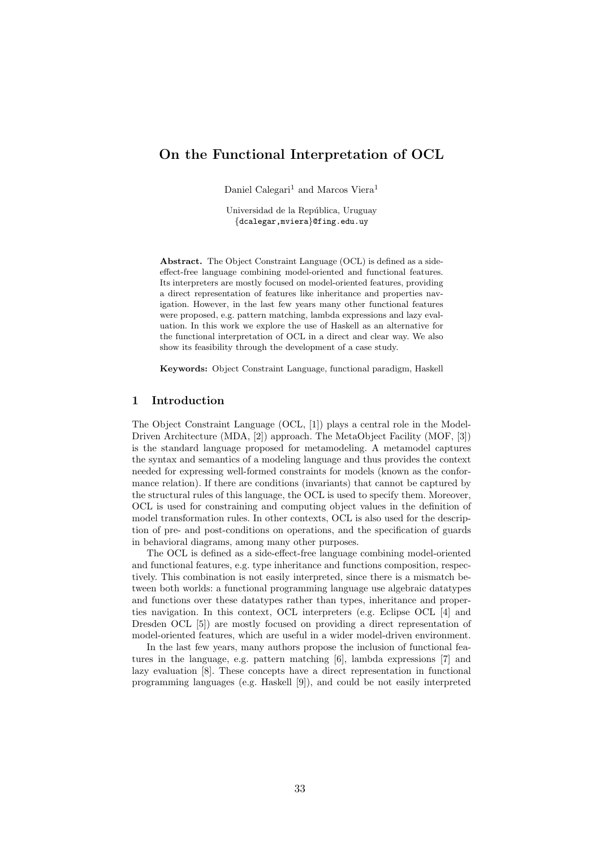# On the Functional Interpretation of OCL

Daniel Calegari<sup>1</sup> and Marcos Viera<sup>1</sup>

Universidad de la República, Uruguay {dcalegar,mviera}@fing.edu.uy

Abstract. The Object Constraint Language (OCL) is defined as a sideeffect-free language combining model-oriented and functional features. Its interpreters are mostly focused on model-oriented features, providing a direct representation of features like inheritance and properties navigation. However, in the last few years many other functional features were proposed, e.g. pattern matching, lambda expressions and lazy evaluation. In this work we explore the use of Haskell as an alternative for the functional interpretation of OCL in a direct and clear way. We also show its feasibility through the development of a case study.

Keywords: Object Constraint Language, functional paradigm, Haskell

## 1 Introduction

The Object Constraint Language (OCL, [1]) plays a central role in the Model-Driven Architecture (MDA, [2]) approach. The MetaObject Facility (MOF, [3]) is the standard language proposed for metamodeling. A metamodel captures the syntax and semantics of a modeling language and thus provides the context needed for expressing well-formed constraints for models (known as the conformance relation). If there are conditions (invariants) that cannot be captured by the structural rules of this language, the OCL is used to specify them. Moreover, OCL is used for constraining and computing object values in the definition of model transformation rules. In other contexts, OCL is also used for the description of pre- and post-conditions on operations, and the specification of guards in behavioral diagrams, among many other purposes.

The OCL is defined as a side-effect-free language combining model-oriented and functional features, e.g. type inheritance and functions composition, respectively. This combination is not easily interpreted, since there is a mismatch between both worlds: a functional programming language use algebraic datatypes and functions over these datatypes rather than types, inheritance and properties navigation. In this context, OCL interpreters (e.g. Eclipse OCL [4] and Dresden OCL [5]) are mostly focused on providing a direct representation of model-oriented features, which are useful in a wider model-driven environment.

In the last few years, many authors propose the inclusion of functional features in the language, e.g. pattern matching [6], lambda expressions [7] and lazy evaluation [8]. These concepts have a direct representation in functional programming languages (e.g. Haskell [9]), and could be not easily interpreted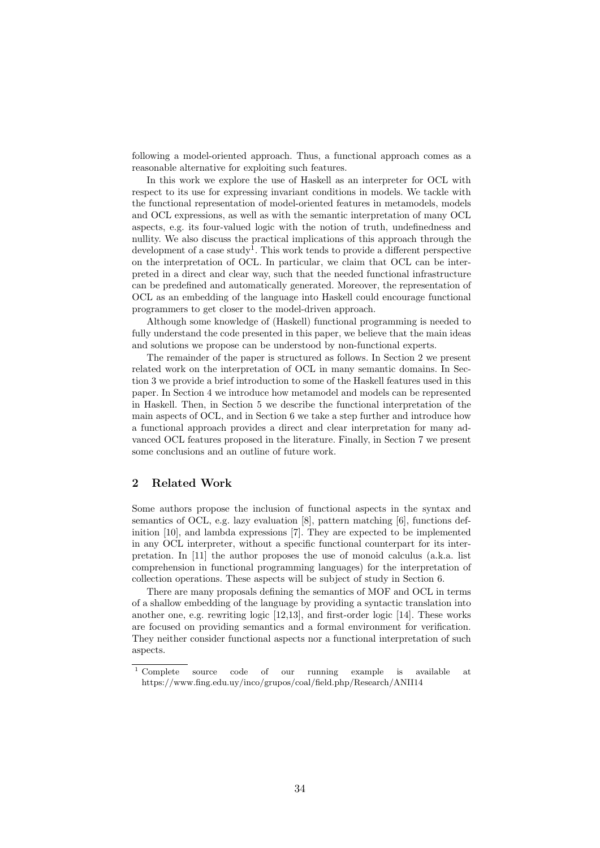following a model-oriented approach. Thus, a functional approach comes as a reasonable alternative for exploiting such features.

In this work we explore the use of Haskell as an interpreter for OCL with respect to its use for expressing invariant conditions in models. We tackle with the functional representation of model-oriented features in metamodels, models and OCL expressions, as well as with the semantic interpretation of many OCL aspects, e.g. its four-valued logic with the notion of truth, undefinedness and nullity. We also discuss the practical implications of this approach through the development of a case study<sup>1</sup>. This work tends to provide a different perspective on the interpretation of OCL. In particular, we claim that OCL can be interpreted in a direct and clear way, such that the needed functional infrastructure can be predefined and automatically generated. Moreover, the representation of OCL as an embedding of the language into Haskell could encourage functional programmers to get closer to the model-driven approach.

Although some knowledge of (Haskell) functional programming is needed to fully understand the code presented in this paper, we believe that the main ideas and solutions we propose can be understood by non-functional experts.

The remainder of the paper is structured as follows. In Section 2 we present related work on the interpretation of OCL in many semantic domains. In Section 3 we provide a brief introduction to some of the Haskell features used in this paper. In Section 4 we introduce how metamodel and models can be represented in Haskell. Then, in Section 5 we describe the functional interpretation of the main aspects of OCL, and in Section 6 we take a step further and introduce how a functional approach provides a direct and clear interpretation for many advanced OCL features proposed in the literature. Finally, in Section 7 we present some conclusions and an outline of future work.

## 2 Related Work

Some authors propose the inclusion of functional aspects in the syntax and semantics of OCL, e.g. lazy evaluation [8], pattern matching [6], functions definition [10], and lambda expressions [7]. They are expected to be implemented in any OCL interpreter, without a specific functional counterpart for its interpretation. In [11] the author proposes the use of monoid calculus (a.k.a. list comprehension in functional programming languages) for the interpretation of collection operations. These aspects will be subject of study in Section 6.

There are many proposals defining the semantics of MOF and OCL in terms of a shallow embedding of the language by providing a syntactic translation into another one, e.g. rewriting logic [12,13], and first-order logic [14]. These works are focused on providing semantics and a formal environment for verification. They neither consider functional aspects nor a functional interpretation of such aspects.

<sup>1</sup> Complete source code of our running example is available at https://www.fing.edu.uy/inco/grupos/coal/field.php/Research/ANII14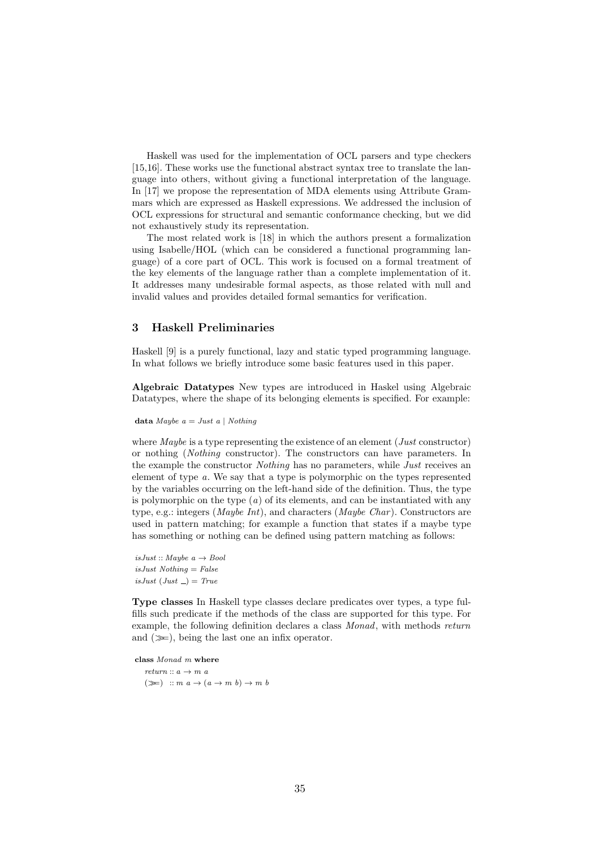Haskell was used for the implementation of OCL parsers and type checkers [15,16]. These works use the functional abstract syntax tree to translate the language into others, without giving a functional interpretation of the language. In [17] we propose the representation of MDA elements using Attribute Grammars which are expressed as Haskell expressions. We addressed the inclusion of OCL expressions for structural and semantic conformance checking, but we did not exhaustively study its representation.

The most related work is [18] in which the authors present a formalization using Isabelle/HOL (which can be considered a functional programming language) of a core part of OCL. This work is focused on a formal treatment of the key elements of the language rather than a complete implementation of it. It addresses many undesirable formal aspects, as those related with null and invalid values and provides detailed formal semantics for verification.

#### 3 Haskell Preliminaries

Haskell [9] is a purely functional, lazy and static typed programming language. In what follows we briefly introduce some basic features used in this paper.

Algebraic Datatypes New types are introduced in Haskel using Algebraic Datatypes, where the shape of its belonging elements is specified. For example:

data Maybe  $a = Just\ a\ |\ Nothing$ 

where *Maybe* is a type representing the existence of an element (*Just* constructor) or nothing (Nothing constructor). The constructors can have parameters. In the example the constructor *Nothing* has no parameters, while *Just* receives an element of type a. We say that a type is polymorphic on the types represented by the variables occurring on the left-hand side of the definition. Thus, the type is polymorphic on the type  $(a)$  of its elements, and can be instantiated with any type, e.g.: integers (*Maybe Int*), and characters (*Maybe Char*). Constructors are used in pattern matching; for example a function that states if a maybe type has something or nothing can be defined using pattern matching as follows:

isJust :: Maybe  $a \rightarrow Bool$  $isJust Nothing = False$ isJust (Just  $) = True$ 

Type classes In Haskell type classes declare predicates over types, a type fulfills such predicate if the methods of the class are supported for this type. For example, the following definition declares a class Monad, with methods return and  $(\gg)$ , being the last one an infix operator.

class Monad m where  $return :: a \rightarrow m$  $(\ggg)$  ::  $m\ a \rightarrow (a \rightarrow m\ b) \rightarrow m\ b$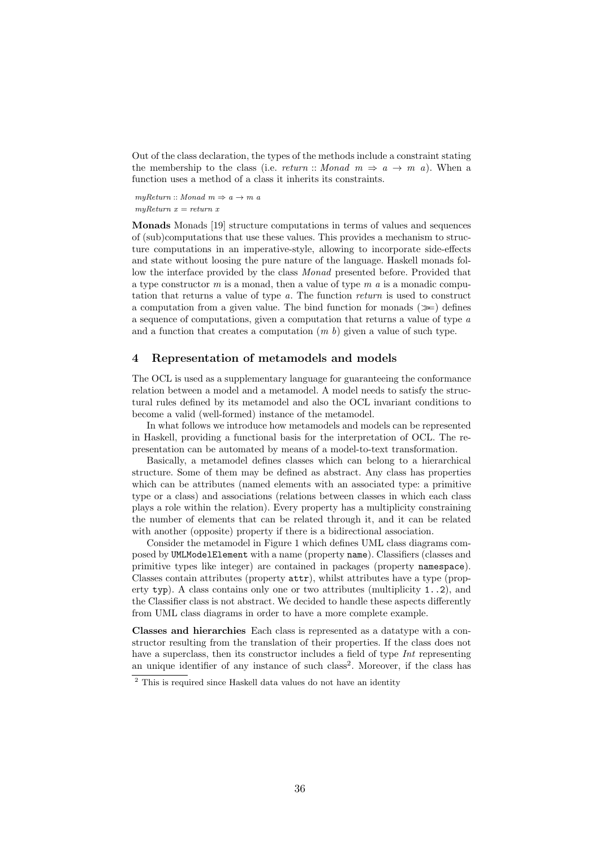Out of the class declaration, the types of the methods include a constraint stating the membership to the class (i.e. return :: Monad  $m \Rightarrow a \rightarrow m$  a). When a function uses a method of a class it inherits its constraints.

 $myReturn :: Monad \, m \Rightarrow a \rightarrow m \, a$  $m\eta R$ eturn  $x = return x$ 

Monads Monads [19] structure computations in terms of values and sequences of (sub)computations that use these values. This provides a mechanism to structure computations in an imperative-style, allowing to incorporate side-effects and state without loosing the pure nature of the language. Haskell monads follow the interface provided by the class Monad presented before. Provided that a type constructor  $m$  is a monad, then a value of type  $m$  a is a monadic computation that returns a value of type a. The function return is used to construct a computation from a given value. The bind function for monads  $(\gg)$  defines a sequence of computations, given a computation that returns a value of type a and a function that creates a computation  $(m b)$  given a value of such type.

# 4 Representation of metamodels and models

The OCL is used as a supplementary language for guaranteeing the conformance relation between a model and a metamodel. A model needs to satisfy the structural rules defined by its metamodel and also the OCL invariant conditions to become a valid (well-formed) instance of the metamodel.

In what follows we introduce how metamodels and models can be represented in Haskell, providing a functional basis for the interpretation of OCL. The representation can be automated by means of a model-to-text transformation.

Basically, a metamodel defines classes which can belong to a hierarchical structure. Some of them may be defined as abstract. Any class has properties which can be attributes (named elements with an associated type: a primitive type or a class) and associations (relations between classes in which each class plays a role within the relation). Every property has a multiplicity constraining the number of elements that can be related through it, and it can be related with another (opposite) property if there is a bidirectional association.

Consider the metamodel in Figure 1 which defines UML class diagrams composed by UMLModelElement with a name (property name). Classifiers (classes and primitive types like integer) are contained in packages (property namespace). Classes contain attributes (property attr), whilst attributes have a type (property typ). A class contains only one or two attributes (multiplicity  $1 \ldots 2$ ), and the Classifier class is not abstract. We decided to handle these aspects differently from UML class diagrams in order to have a more complete example.

Classes and hierarchies Each class is represented as a datatype with a constructor resulting from the translation of their properties. If the class does not have a superclass, then its constructor includes a field of type Int representing an unique identifier of any instance of such class<sup>2</sup>. Moreover, if the class has

<sup>&</sup>lt;sup>2</sup> This is required since Haskell data values do not have an identity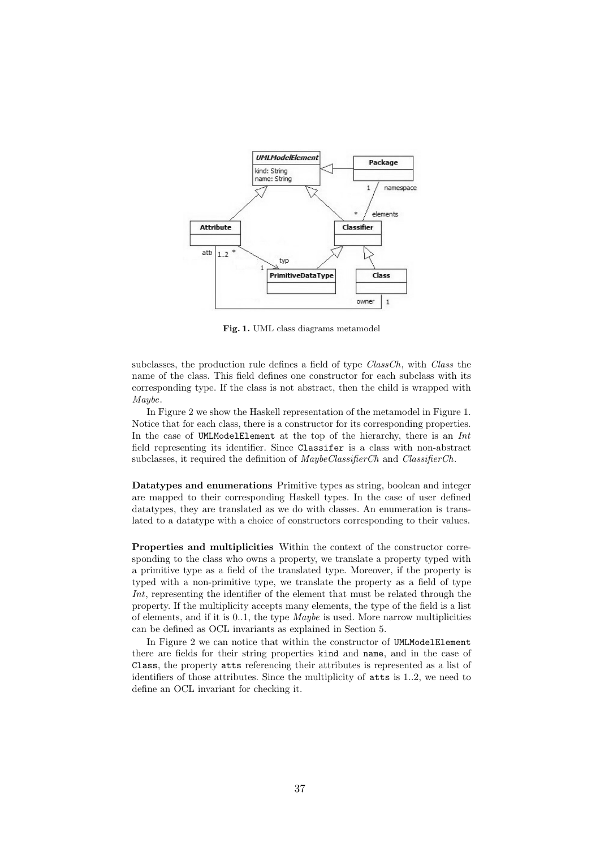

Fig. 1. UML class diagrams metamodel

subclasses, the production rule defines a field of type  $ClassCh$ , with Class the name of the class. This field defines one constructor for each subclass with its corresponding type. If the class is not abstract, then the child is wrapped with Maybe.

In Figure 2 we show the Haskell representation of the metamodel in Figure 1. Notice that for each class, there is a constructor for its corresponding properties. In the case of UMLModelElement at the top of the hierarchy, there is an  $Int$ field representing its identifier. Since Classifer is a class with non-abstract subclasses, it required the definition of  $\text{MaybeClassifier}Ch$  and  $\text{Classifier}Ch$ .

Datatypes and enumerations Primitive types as string, boolean and integer are mapped to their corresponding Haskell types. In the case of user defined datatypes, they are translated as we do with classes. An enumeration is translated to a datatype with a choice of constructors corresponding to their values.

Properties and multiplicities Within the context of the constructor corresponding to the class who owns a property, we translate a property typed with a primitive type as a field of the translated type. Moreover, if the property is typed with a non-primitive type, we translate the property as a field of type Int, representing the identifier of the element that must be related through the property. If the multiplicity accepts many elements, the type of the field is a list of elements, and if it is  $0.1$ , the type *Maybe* is used. More narrow multiplicities can be defined as OCL invariants as explained in Section 5.

In Figure 2 we can notice that within the constructor of UMLModelElement there are fields for their string properties kind and name, and in the case of Class, the property atts referencing their attributes is represented as a list of identifiers of those attributes. Since the multiplicity of atts is 1..2, we need to define an OCL invariant for checking it.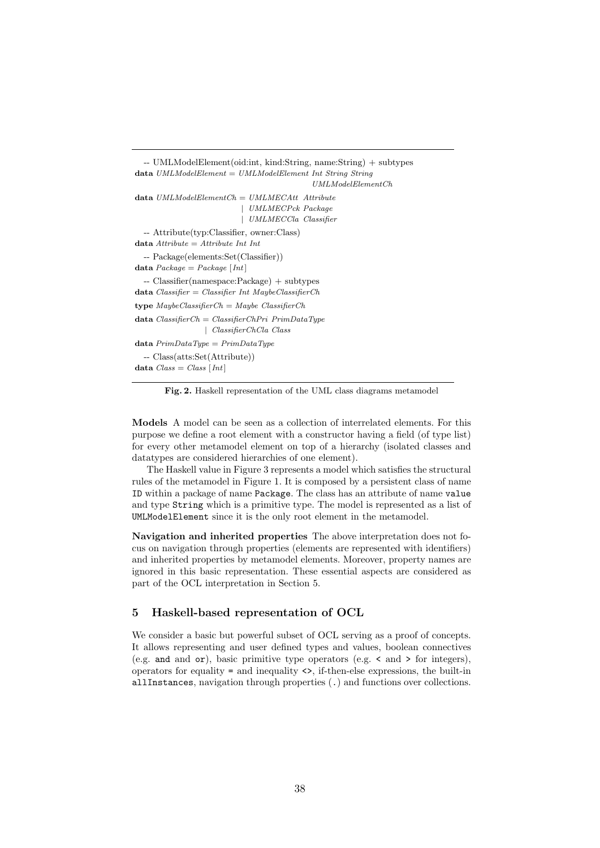```
-- UMLModelElement(oid:int, kind:String, name:String) + subtypes
data UMLModelElement = UMLModelElement Int String String
                                             UMLModelElementCh
data UMLModelElementCh = UMLMECAtt Attribute
                           | UMLMECPck Package
                           | UMLMECCla Classifier
  -- Attribute(typ:Classifier, owner:Class)
data \text{ } Attribute = Attribute \text{ } Int \text{ } Int-- Package(elements:Set(Classifier))
data Package = Package [Int]
  -- Classifier(namespace:Package) + subtypes
data Classifier = Classifier Int MaybeClassifierCh
type MaubeClassifierCh = Maube ClassifierChdata ClassifierCh = ClassifierChPri PrimDataTwo| ClassifierChCla Class
data PrimDataType = PrimDataType-- Class(atts:Set(Attribute))
data Class = Class | Int |
```
Fig. 2. Haskell representation of the UML class diagrams metamodel

Models A model can be seen as a collection of interrelated elements. For this purpose we define a root element with a constructor having a field (of type list) for every other metamodel element on top of a hierarchy (isolated classes and datatypes are considered hierarchies of one element).

The Haskell value in Figure 3 represents a model which satisfies the structural rules of the metamodel in Figure 1. It is composed by a persistent class of name ID within a package of name Package. The class has an attribute of name value and type String which is a primitive type. The model is represented as a list of UMLModelElement since it is the only root element in the metamodel.

Navigation and inherited properties The above interpretation does not focus on navigation through properties (elements are represented with identifiers) and inherited properties by metamodel elements. Moreover, property names are ignored in this basic representation. These essential aspects are considered as part of the OCL interpretation in Section 5.

## 5 Haskell-based representation of OCL

We consider a basic but powerful subset of OCL serving as a proof of concepts. It allows representing and user defined types and values, boolean connectives (e.g. and and or), basic primitive type operators (e.g.  $\lt$  and  $\gt$  for integers), operators for equality  $\epsilon$  = and inequality  $\epsilon$ , if-then-else expressions, the built-in allInstances, navigation through properties (.) and functions over collections.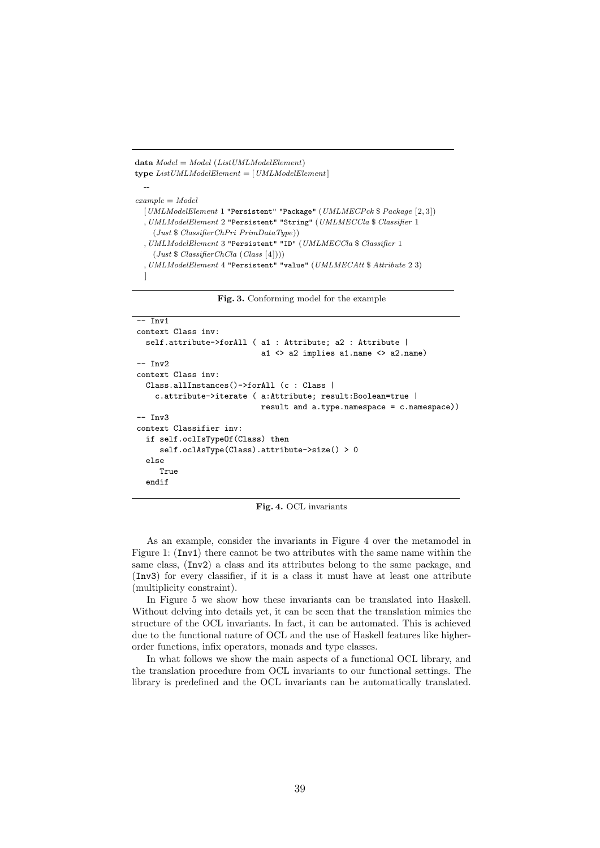```
data Model = Model (List UMLModel Element)type ListUMLModelElement = [UMLModelElement]--
example = Model[UMLModelElement 1 "Persistent" "Package" (UMLMECPck $ Package [2, 3])
  , UMLModelElement 2 "Persistent" "String" (UMLMECCla $ Classifier 1
    (Just $ ClassifierChPri PrimDataType))
  , UMLModelElement 3 "Persistent" "ID" (UMLMECCla $ Classifier 1
    (Just $ ClassifierChCla (Class [4])))
  , UMLModelElement 4 "Persistent" "value" (UMLMECAtt $ Attribute 2 3)
  ]
```
Fig. 3. Conforming model for the example

```
-- Inv1context Class inv:
  self.attribute->forAll ( a1 : Attribute: a2 : Attribute |
                           a1 <> a2 implies a1.name <> a2.name)
-- Inv2
context Class inv:
  Class.allInstances()->forAll (c : Class |
    c.attribute->iterate ( a:Attribute; result:Boolean=true |
                           result and a.type.namespace = c.namespace))
-- Inv3
context Classifier inv:
  if self.oclIsTypeOf(Class) then
     self.oclAsType(Class).attribute->size() > 0
  else
     True
  endif
```
Fig. 4. OCL invariants

As an example, consider the invariants in Figure 4 over the metamodel in Figure 1: (Inv1) there cannot be two attributes with the same name within the same class, (Inv2) a class and its attributes belong to the same package, and (Inv3) for every classifier, if it is a class it must have at least one attribute (multiplicity constraint).

In Figure 5 we show how these invariants can be translated into Haskell. Without delving into details yet, it can be seen that the translation mimics the structure of the OCL invariants. In fact, it can be automated. This is achieved due to the functional nature of OCL and the use of Haskell features like higherorder functions, infix operators, monads and type classes.

In what follows we show the main aspects of a functional OCL library, and the translation procedure from OCL invariants to our functional settings. The library is predefined and the OCL invariants can be automatically translated.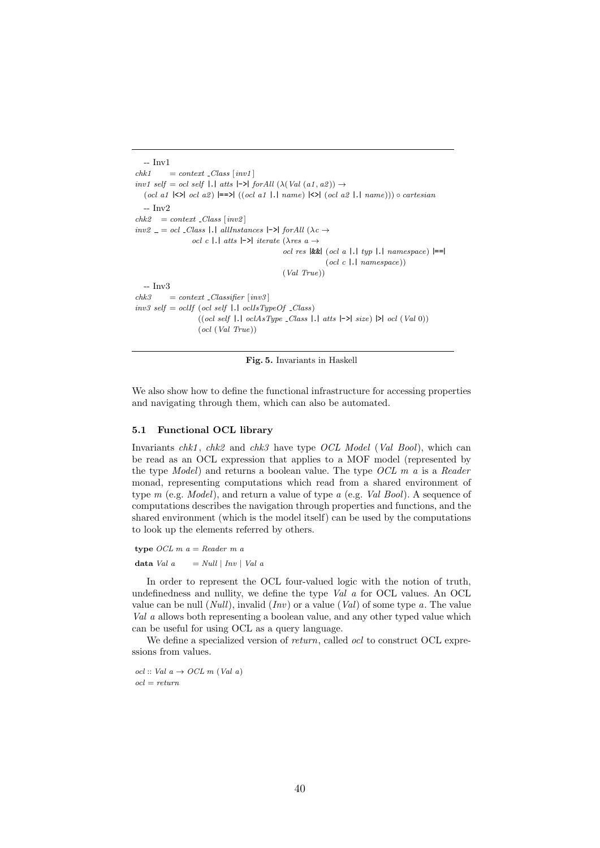```
-- \mathrm{Inv}1<br>chk1= context \_Class \ [inv1]inv1 self = ocl self |.| atts |\rightarrow| forAll (\lambda(Val (a1, a2)) \rightarrow\left( \text{od } a1 \right| \leq \mid \text{od } a2 \rangle \models \geq \mid ((\text{od } a1 \mid .| \text{ name}) \right| \leq \mid (\text{od } a2 \mid .| \text{ name}))) \circ \text{cartesian}-- Inv2
chk2 = context \_Class \ [inv2]inv2 = oc1 Class |.| allInstances |-\rangle for All (\lambda c \rightarrowocl c |.| atts |\rightarrow| iterate (\lambdares a \rightarrowocl res \left|\&\&\right| (ocl a \left|.\right| typ \left|.\right| namespace) \left|=\right|(ocl c |.] namespace))
                                                                   (Val True))
    - Inv3
chk3 = context \text{.} Classifier \text{ } [inv3]inv3 \; self = \; oclIf \; (ocl \; self \; | \; . | \; oclIsTypeOf \; _Class)((ocl \; self \; | \; . \; | \; oclAsType \; _Class \; | \; . \; | \; atts \; | \; \text{->} | \; size) \; | \text{->} | \; col \; (Val \; 0))(ocl (Val True))
```
Fig. 5. Invariants in Haskell

We also show how to define the functional infrastructure for accessing properties and navigating through them, which can also be automated.

#### 5.1 Functional OCL library

Invariants  $chk1$ ,  $chk2$  and  $chk3$  have type OCL Model (Val Bool), which can be read as an OCL expression that applies to a MOF model (represented by the type  $Model$ ) and returns a boolean value. The type  $OCL$  m a is a Reader monad, representing computations which read from a shared environment of type  $m$  (e.g. *Model*), and return a value of type  $a$  (e.g. *Val Bool*). A sequence of computations describes the navigation through properties and functions, and the shared environment (which is the model itself) can be used by the computations to look up the elements referred by others.

type *OCL*  $m a = Reader \, m \, a$ 

data Val  $a = Null | Inv | Val a$ 

In order to represent the OCL four-valued logic with the notion of truth, undefinedness and nullity, we define the type Val a for OCL values. An OCL value can be null  $(Null)$ , invalid  $(Inv)$  or a value  $(Val)$  of some type a. The value Val a allows both representing a boolean value, and any other typed value which can be useful for using OCL as a query language.

We define a specialized version of *return*, called *ocl* to construct OCL expressions from values.

ocl :: Val  $a \rightarrow OCL$  m (Val a)  $ocl = return$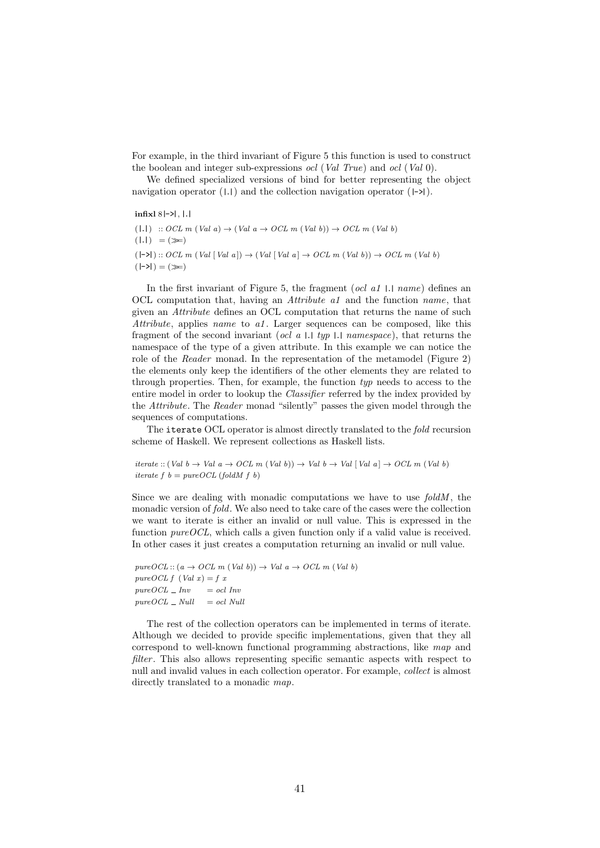For example, in the third invariant of Figure 5 this function is used to construct the boolean and integer sub-expressions *ocl* (*Val True*) and *ocl* (*Val* 0).

We defined specialized versions of bind for better representing the object navigation operator  $(|.|)$  and the collection navigation operator  $(|- \rangle)$ .

infixl $8$ |->|, |.|

```
(1,1) :: OCL m (Val a) \rightarrow (Val a \rightarrow OCL m (Val b)) \rightarrow OCL m (Val b)
(|.|) = (\ggg)(|-\rangle|) :: OCL m (Val [Val a]) \rightarrow (Val [Val a] \rightarrow OCL m (Val b)) \rightarrow OCL m (Val b)(-\lambda) = (\ggg)
```
In the first invariant of Figure 5, the fragment (*ocl a1* 1.1 *name*) defines an OCL computation that, having an Attribute a1 and the function name, that given an Attribute defines an OCL computation that returns the name of such Attribute, applies name to al. Larger sequences can be composed, like this fragment of the second invariant (ocl  $a$   $\Box$  typ  $\Box$  namespace), that returns the namespace of the type of a given attribute. In this example we can notice the role of the Reader monad. In the representation of the metamodel (Figure 2) the elements only keep the identifiers of the other elements they are related to through properties. Then, for example, the function typ needs to access to the entire model in order to lookup the Classifier referred by the index provided by the Attribute. The Reader monad "silently" passes the given model through the sequences of computations.

The iterate OCL operator is almost directly translated to the fold recursion scheme of Haskell. We represent collections as Haskell lists.

iterate :: (Val  $b \rightarrow$  Val  $a \rightarrow OCL$  m (Val b))  $\rightarrow$  Val  $b \rightarrow$  Val [Val a]  $\rightarrow OCL$  m (Val b) iterate f  $b = pureOCL$  (fold  $f(b)$ )

Since we are dealing with monadic computations we have to use  $foldM$ , the monadic version of fold. We also need to take care of the cases were the collection we want to iterate is either an invalid or null value. This is expressed in the function  $pure OCL$ , which calls a given function only if a valid value is received. In other cases it just creates a computation returning an invalid or null value.

pure  $OCL$  ::  $(a \rightarrow OCL \ m \ (Val \ b)) \rightarrow Val \ a \rightarrow OCL \ m \ (Val \ b)$ pure OCL  $f$  (Val  $x$ ) =  $f$   $x$  $pureOCL$  = Inv = ocl Inv  $pure OCL$   $\_\ Null$   $=$  ocl Null

The rest of the collection operators can be implemented in terms of iterate. Although we decided to provide specific implementations, given that they all correspond to well-known functional programming abstractions, like map and filter. This also allows representing specific semantic aspects with respect to null and invalid values in each collection operator. For example, collect is almost directly translated to a monadic map.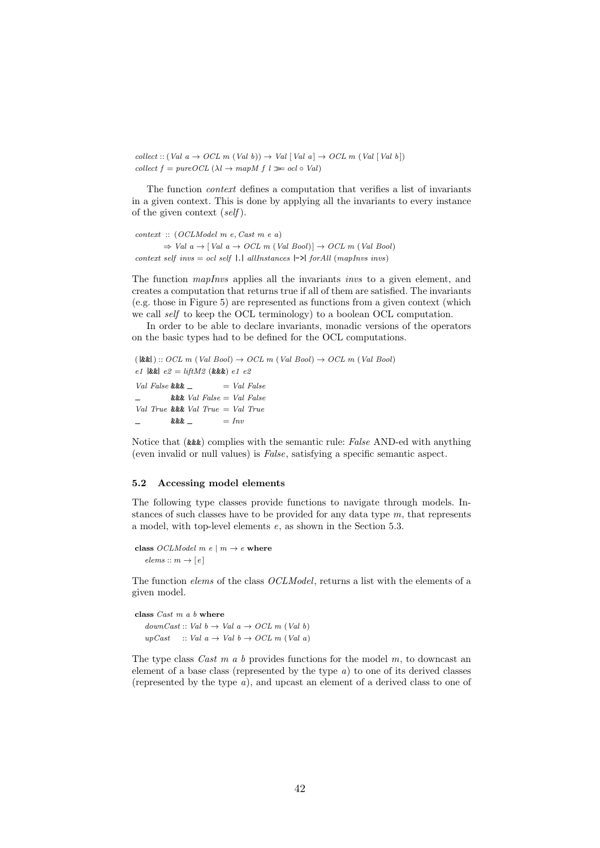$collect :: (Val\ a \rightarrow OCL\ m\ (Val\ b)) \rightarrow Val\ [Val\ a] \rightarrow OCL\ m\ (Val\ [Val\ b])$ collect  $f = pureOCL$  ( $\lambda l \rightarrow mapM$   $f$   $l \ggg$  ocl  $\circ$  Val)

The function context defines a computation that verifies a list of invariants in a given context. This is done by applying all the invariants to every instance of the given context  $(self)$ .

```
context :: (OCLModel m e, Cast m e a)
         \Rightarrow Val a \rightarrow [Val a \rightarrow OCL m (Val Bool)] \rightarrow OCL m (Val Bool)
context self invs = ocl self |.| allInstances |-\rangle for All (mapInvs invs)
```
The function *mapInvs* applies all the invariants *invs* to a given element, and creates a computation that returns true if all of them are satisfied. The invariants (e.g. those in Figure 5) are represented as functions from a given context (which we call *self* to keep the OCL terminology) to a boolean OCL computation.

In order to be able to declare invariants, monadic versions of the operators on the basic types had to be defined for the OCL computations.

```
(k\&\&\&\&\&\;::\; OCL \; m \; (Val \; Bool) \rightarrow OCL \; m \; (Val \; Bool) \rightarrow OCL \; m \; (Val \; Bool)e1 \& \& e2 = \text{lift}M2 \& \& e1 e2Val False \&\& = Val False
           &\&\& Val False = Val False
Val True &&& Val True = Val True
           \&\&\&\quad \qquad = Inv
```
Notice that (&&&) complies with the semantic rule: False AND-ed with anything (even invalid or null values) is False, satisfying a specific semantic aspect.

## 5.2 Accessing model elements

The following type classes provide functions to navigate through models. Instances of such classes have to be provided for any data type  $m$ , that represents a model, with top-level elements e, as shown in the Section 5.3.

class *OCLModel m e*  $|m \to e$  where  $elements :: m \rightarrow [e]$ 

The function *elems* of the class *OCLModel*, returns a list with the elements of a given model.

```
class \textit{Cast } m \textit{ a } b where
    downCast :: Val b \rightarrow Val a \rightarrow OCL m (Val b)upCast :: Val a \rightarrow Val b \rightarrow OCL m (Val a)
```
The type class Cast  $m$  a b provides functions for the model  $m$ , to downcast an element of a base class (represented by the type  $a$ ) to one of its derived classes (represented by the type a), and upcast an element of a derived class to one of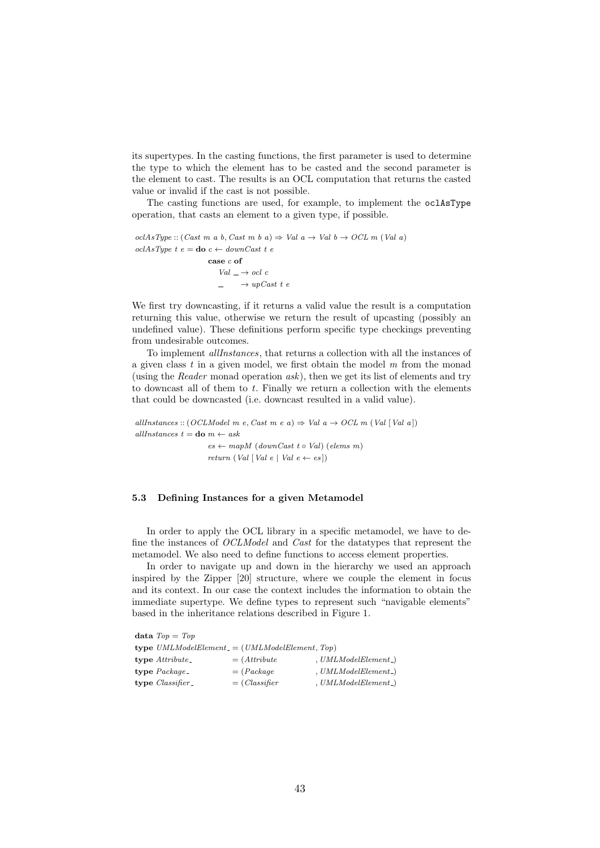its supertypes. In the casting functions, the first parameter is used to determine the type to which the element has to be casted and the second parameter is the element to cast. The results is an OCL computation that returns the casted value or invalid if the cast is not possible.

The casting functions are used, for example, to implement the oclAsType operation, that casts an element to a given type, if possible.

```
oclAsType :: (Cast m a b, Cast m b a) \Rightarrow Val a \rightarrow Val b \rightarrow OCL m (Val a)
oclAsType\ t\ e =do c \leftarrow downCast\ t\ ecase c of
                                Val\,\bot \rightarrow \mathit{ocl}\, \mathit{c}\rightarrow upCast t e
```
We first try downcasting, if it returns a valid value the result is a computation returning this value, otherwise we return the result of upcasting (possibly an undefined value). These definitions perform specific type checkings preventing from undesirable outcomes.

To implement allInstances, that returns a collection with all the instances of a given class  $t$  in a given model, we first obtain the model  $m$  from the monad (using the Reader monad operation  $ask$ ), then we get its list of elements and try to downcast all of them to  $t$ . Finally we return a collection with the elements that could be downcasted (i.e. downcast resulted in a valid value).

allInstances :: (OCLModel m e, Cast m e a)  $\Rightarrow$  Val a  $\rightarrow$  OCL m (Val [Val a]) allInstances  $t =$ **do**  $m \leftarrow ask$  $es \leftarrow mapM$  (downCast t  $\circ$  Val) (elems m) return (Val [Val e | Val e  $\leftarrow e$ s])

#### 5.3 Defining Instances for a given Metamodel

In order to apply the OCL library in a specific metamodel, we have to define the instances of OCLModel and Cast for the datatypes that represent the metamodel. We also need to define functions to access element properties.

In order to navigate up and down in the hierarchy we used an approach inspired by the Zipper [20] structure, where we couple the element in focus and its context. In our case the context includes the information to obtain the immediate supertype. We define types to represent such "navigable elements" based in the inheritance relations described in Figure 1.

| data $Top = Top$   |                                                        |                         |
|--------------------|--------------------------------------------------------|-------------------------|
|                    | <b>type</b> $UMLModelElement = (UMLModelElement, Top)$ |                         |
| $type$ Attribute_  | $= (Attribute$                                         | $, UMLModelElement$ )   |
| type $Package_$    | $= (Package$                                           | $, UMLModelElement$ )   |
| $type Classifier_$ | $= (Classifier$                                        | $, UMLModelElement_{})$ |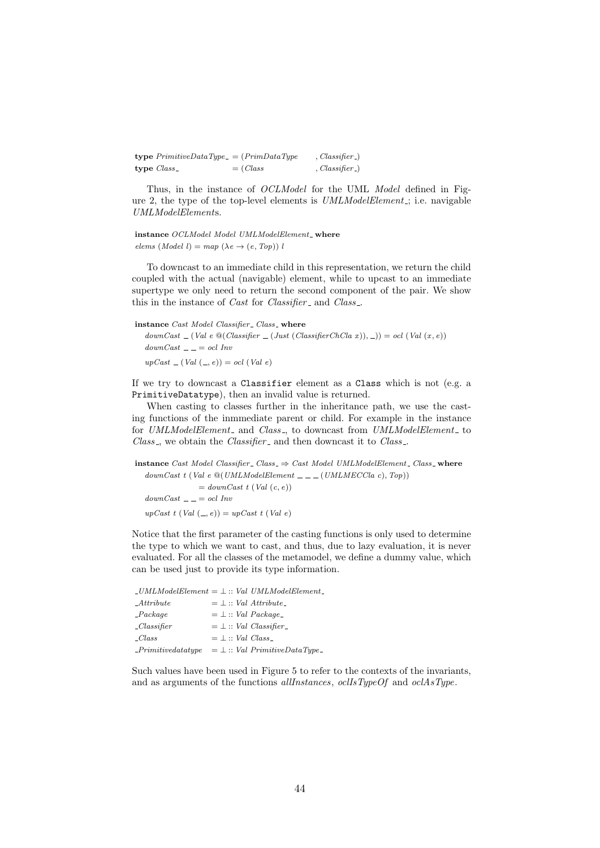| <b>type</b> $PrimitiveDataType = (PrimDataType)$ |                      | $, Classifier_{})$ |
|--------------------------------------------------|----------------------|--------------------|
| type $Class_$                                    | $=$ ( <i>Class</i> ) | $, Classifier_{})$ |

Thus, in the instance of OCLModel for the UML Model defined in Figure 2, the type of the top-level elements is  $UMLModelElement$ ; i.e. navigable UMLModelElements.

instance OCLModel Model UMLModelElement\_where elems (Model l) = map ( $\lambda e \rightarrow (e, Top)$ ) l

To downcast to an immediate child in this representation, we return the child coupled with the actual (navigable) element, while to upcast to an immediate supertype we only need to return the second component of the pair. We show this in the instance of *Cast* for *Classifier* and *Class*...

instance Cast Model Classifier\_Class\_where  $downCast \_ (Val \ e \ @ (Classifier \_ (Just (Classifier ChCla x)), \_)) = ocl (Val (x, e))$  $downCast \_\_ = col \ Inv$  $upCast = (Val (-, e)) = ocl (Val e)$ 

If we try to downcast a Classifier element as a Class which is not (e.g. a PrimitiveDatatype), then an invalid value is returned.

When casting to classes further in the inheritance path, we use the casting functions of the inmmediate parent or child. For example in the instance for UMLModelElement\_ and Class\_, to downcast from UMLModelElement\_ to Class<sub>-</sub>, we obtain the Classifier<sub>-</sub> and then downcast it to Class<sub>-</sub>.

```
instance Cast Model Classifier Class \Rightarrow Cast Model UMLModelElement Class where
  downCast t (Val e \mathcal{Q}(UMLModelElement \_ \_ \_ (UMLMECCla c), Top))= downCast t (Val (c, e))
  downCast \_\_ = col \ InvupCast t (Val (, e)) = upCast t (Val e)
```
Notice that the first parameter of the casting functions is only used to determine the type to which we want to cast, and thus, due to lazy evaluation, it is never evaluated. For all the classes of the metamodel, we define a dummy value, which can be used just to provide its type information.

|                                 |  | $\_UMLModelElement = \perp :: Val UMLModelElement$ |
|---------------------------------|--|----------------------------------------------------|
| $\mathcal{A}$ ttribute          |  | $=$ $\perp$ :: <i>Val Attribute</i>                |
| Package                         |  | $=$ $\perp$ :: Val Package                         |
| $\mathcal{L}$ <i>Classifier</i> |  | $=$ $\perp$ :: <i>Val Classifier</i>               |
| $\mathcal{L}$ ass               |  | $=$ $\perp$ :: <i>Val Class</i>                    |
| $\_Primitive data type$         |  | $=$ $\perp$ :: Val PrimitiveDataType_              |

Such values have been used in Figure 5 to refer to the contexts of the invariants, and as arguments of the functions *allInstances*, *oclIsTypeOf* and *oclAsType*.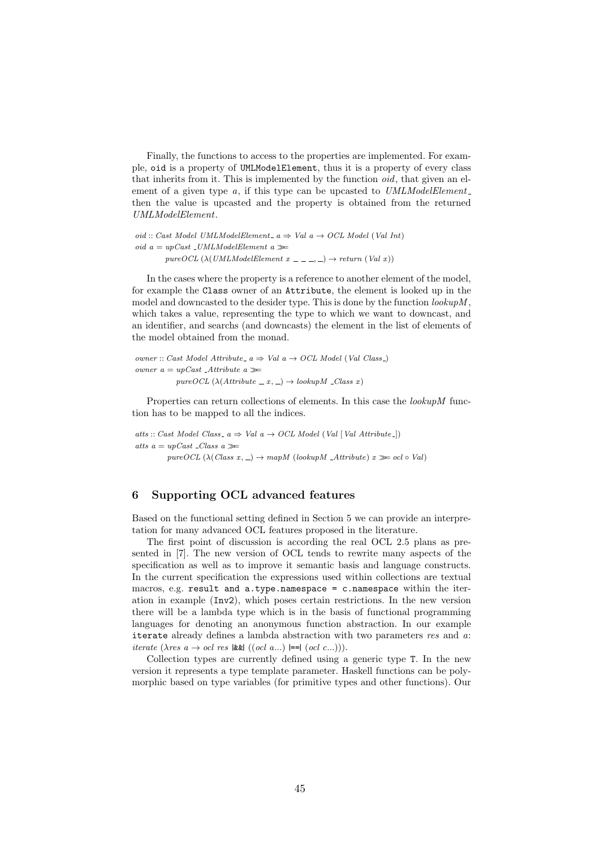Finally, the functions to access to the properties are implemented. For example, oid is a property of UMLModelElement, thus it is a property of every class that inherits from it. This is implemented by the function *oid*, that given an element of a given type  $a$ , if this type can be upcasted to  $UMLModelElement$ . then the value is upcasted and the property is obtained from the returned UMLModelElement.

oid :: Cast Model UMLModelElement a  $\Rightarrow$  Val a  $\rightarrow$  OCL Model (Val Int) oid  $a = upCast \text{ } \exists UMLModelElement \text{ } a \gg$ pureOCL ( $\lambda$ (UMLModelElement x \_ \_ \_, \_)  $\rightarrow$  return (Val x))

In the cases where the property is a reference to another element of the model, for example the Class owner of an Attribute, the element is looked up in the model and downcasted to the desider type. This is done by the function  $\ell \omega \mu M$ , which takes a value, representing the type to which we want to downcast, and an identifier, and searchs (and downcasts) the element in the list of elements of the model obtained from the monad.

```
owner :: Cast Model Attribute a \Rightarrow Val \ a \rightarrow OCL \ Model (Val Class)
owner a = upCast \DeltaAttribute a \ggpure OCL (\lambda(Attribute \_ x, \_) \rightarrow lookup M \_Class x)
```
Properties can return collections of elements. In this case the *lookupM* function has to be mapped to all the indices.

atts :: Cast Model Class -  $a \Rightarrow Val \ a \rightarrow OCL \ Model \ (Val \ [Val \ Attribute -])$ atts  $a = upCast \space \_\_Class \space a \gg\$ pureOCL ( $\lambda$ (Class x, \_)  $\rightarrow$  mapM (lookupM \_Attribute) x  $\gg$  ocl  $\circ$  Val)

## 6 Supporting OCL advanced features

Based on the functional setting defined in Section 5 we can provide an interpretation for many advanced OCL features proposed in the literature.

The first point of discussion is according the real OCL 2.5 plans as presented in [7]. The new version of OCL tends to rewrite many aspects of the specification as well as to improve it semantic basis and language constructs. In the current specification the expressions used within collections are textual macros, e.g. result and a.type.namespace = c.namespace within the iteration in example (Inv2), which poses certain restrictions. In the new version there will be a lambda type which is in the basis of functional programming languages for denoting an anonymous function abstraction. In our example iterate already defines a lambda abstraction with two parameters res and a: iterate  $(\lambda$ res  $a \rightarrow ocl$  res |&&|  $((ocl \ a...)$ |==|  $(ocl \ c...))$ .

Collection types are currently defined using a generic type T. In the new version it represents a type template parameter. Haskell functions can be polymorphic based on type variables (for primitive types and other functions). Our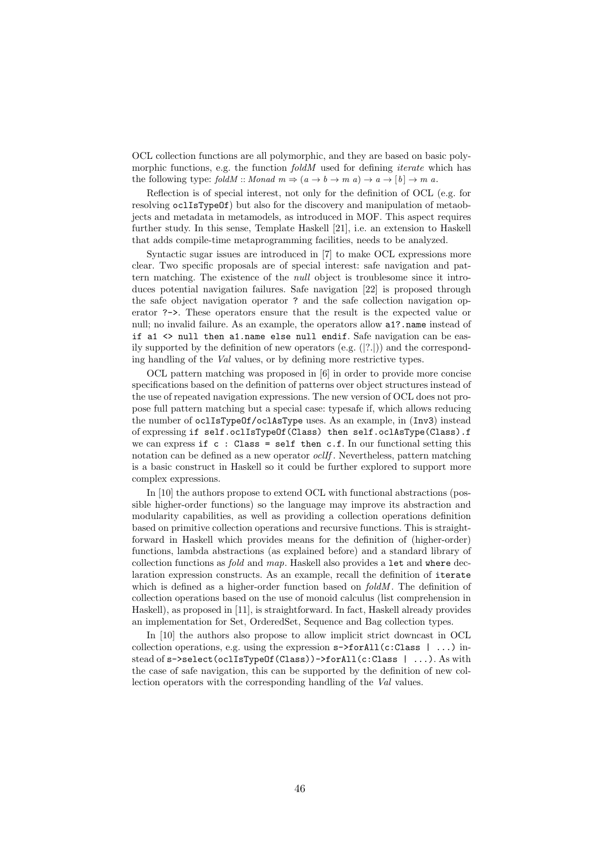OCL collection functions are all polymorphic, and they are based on basic polymorphic functions, e.g. the function *foldM* used for defining *iterate* which has the following type: foldM :: Monad  $m \Rightarrow (a \rightarrow b \rightarrow m \ a) \rightarrow a \rightarrow [b] \rightarrow m \ a$ .

Reflection is of special interest, not only for the definition of OCL (e.g. for resolving oclIsTypeOf) but also for the discovery and manipulation of metaobjects and metadata in metamodels, as introduced in MOF. This aspect requires further study. In this sense, Template Haskell [21], i.e. an extension to Haskell that adds compile-time metaprogramming facilities, needs to be analyzed.

Syntactic sugar issues are introduced in [7] to make OCL expressions more clear. Two specific proposals are of special interest: safe navigation and pattern matching. The existence of the null object is troublesome since it introduces potential navigation failures. Safe navigation [22] is proposed through the safe object navigation operator ? and the safe collection navigation operator ?->. These operators ensure that the result is the expected value or null; no invalid failure. As an example, the operators allow a1?.name instead of if a1 <> null then a1.name else null endif. Safe navigation can be easily supported by the definition of new operators  $(e.g. (2.1))$  and the corresponding handling of the Val values, or by defining more restrictive types.

OCL pattern matching was proposed in [6] in order to provide more concise specifications based on the definition of patterns over object structures instead of the use of repeated navigation expressions. The new version of OCL does not propose full pattern matching but a special case: typesafe if, which allows reducing the number of oclIsTypeOf/oclAsType uses. As an example, in (Inv3) instead of expressing if self.oclIsTypeOf(Class) then self.oclAsType(Class).f we can express if  $c : Class = self then c.f. In our functional setting this$ notation can be defined as a new operator *oclIf*. Nevertheless, pattern matching is a basic construct in Haskell so it could be further explored to support more complex expressions.

In [10] the authors propose to extend OCL with functional abstractions (possible higher-order functions) so the language may improve its abstraction and modularity capabilities, as well as providing a collection operations definition based on primitive collection operations and recursive functions. This is straightforward in Haskell which provides means for the definition of (higher-order) functions, lambda abstractions (as explained before) and a standard library of collection functions as fold and map. Haskell also provides a let and where declaration expression constructs. As an example, recall the definition of iterate which is defined as a higher-order function based on  $foldM$ . The definition of collection operations based on the use of monoid calculus (list comprehension in Haskell), as proposed in [11], is straightforward. In fact, Haskell already provides an implementation for Set, OrderedSet, Sequence and Bag collection types.

In [10] the authors also propose to allow implicit strict downcast in OCL collection operations, e.g. using the expression  $s$ ->forAll(c:Class | ...) instead of s->select(oclIsTypeOf(Class))->forAll(c:Class | ...). As with the case of safe navigation, this can be supported by the definition of new collection operators with the corresponding handling of the Val values.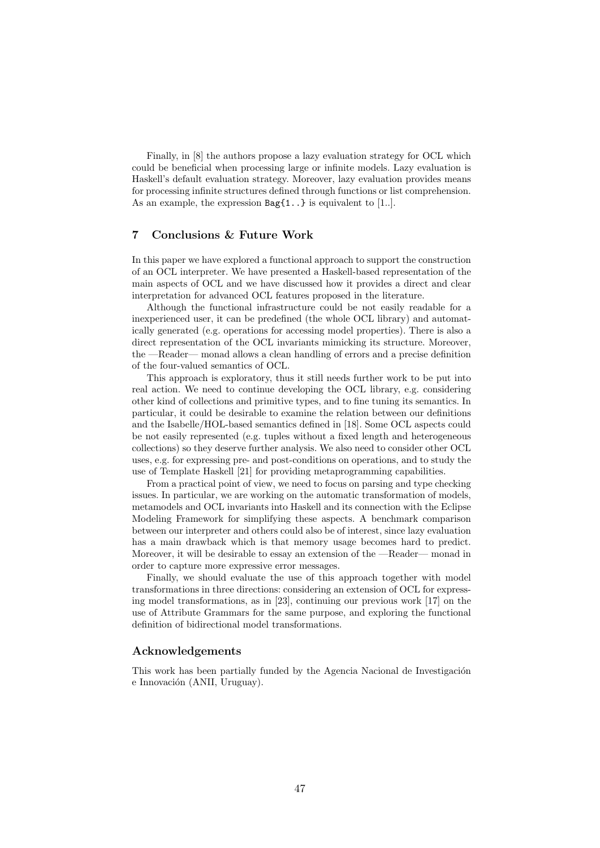Finally, in [8] the authors propose a lazy evaluation strategy for OCL which could be beneficial when processing large or infinite models. Lazy evaluation is Haskell's default evaluation strategy. Moreover, lazy evaluation provides means for processing infinite structures defined through functions or list comprehension. As an example, the expression  $Bag{1..}$  is equivalent to [1..].

## 7 Conclusions & Future Work

In this paper we have explored a functional approach to support the construction of an OCL interpreter. We have presented a Haskell-based representation of the main aspects of OCL and we have discussed how it provides a direct and clear interpretation for advanced OCL features proposed in the literature.

Although the functional infrastructure could be not easily readable for a inexperienced user, it can be predefined (the whole OCL library) and automatically generated (e.g. operations for accessing model properties). There is also a direct representation of the OCL invariants mimicking its structure. Moreover, the —Reader— monad allows a clean handling of errors and a precise definition of the four-valued semantics of OCL.

This approach is exploratory, thus it still needs further work to be put into real action. We need to continue developing the OCL library, e.g. considering other kind of collections and primitive types, and to fine tuning its semantics. In particular, it could be desirable to examine the relation between our definitions and the Isabelle/HOL-based semantics defined in [18]. Some OCL aspects could be not easily represented (e.g. tuples without a fixed length and heterogeneous collections) so they deserve further analysis. We also need to consider other OCL uses, e.g. for expressing pre- and post-conditions on operations, and to study the use of Template Haskell [21] for providing metaprogramming capabilities.

From a practical point of view, we need to focus on parsing and type checking issues. In particular, we are working on the automatic transformation of models, metamodels and OCL invariants into Haskell and its connection with the Eclipse Modeling Framework for simplifying these aspects. A benchmark comparison between our interpreter and others could also be of interest, since lazy evaluation has a main drawback which is that memory usage becomes hard to predict. Moreover, it will be desirable to essay an extension of the —Reader— monad in order to capture more expressive error messages.

Finally, we should evaluate the use of this approach together with model transformations in three directions: considering an extension of OCL for expressing model transformations, as in [23], continuing our previous work [17] on the use of Attribute Grammars for the same purpose, and exploring the functional definition of bidirectional model transformations.

## Acknowledgements

This work has been partially funded by the Agencia Nacional de Investigación e Innovación (ANII, Uruguay).